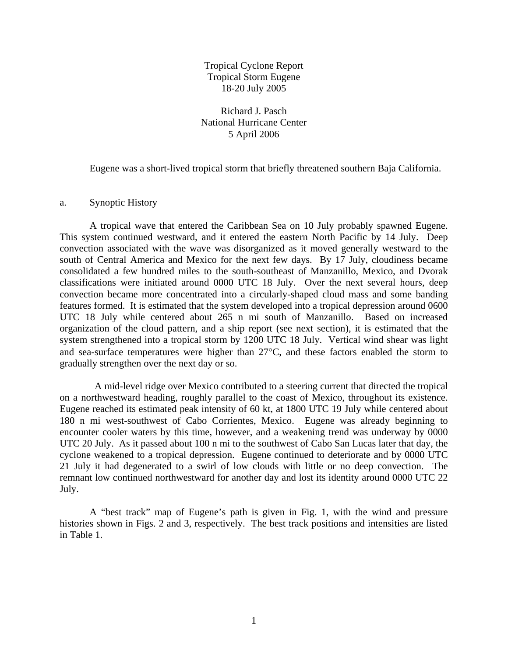Tropical Cyclone Report Tropical Storm Eugene 18-20 July 2005

Richard J. Pasch National Hurricane Center 5 April 2006

Eugene was a short-lived tropical storm that briefly threatened southern Baja California.

a. Synoptic History

A tropical wave that entered the Caribbean Sea on 10 July probably spawned Eugene. This system continued westward, and it entered the eastern North Pacific by 14 July. Deep convection associated with the wave was disorganized as it moved generally westward to the south of Central America and Mexico for the next few days. By 17 July, cloudiness became consolidated a few hundred miles to the south-southeast of Manzanillo, Mexico, and Dvorak classifications were initiated around 0000 UTC 18 July. Over the next several hours, deep convection became more concentrated into a circularly-shaped cloud mass and some banding features formed. It is estimated that the system developed into a tropical depression around 0600 UTC 18 July while centered about 265 n mi south of Manzanillo. Based on increased organization of the cloud pattern, and a ship report (see next section), it is estimated that the system strengthened into a tropical storm by 1200 UTC 18 July. Vertical wind shear was light and sea-surface temperatures were higher than 27°C, and these factors enabled the storm to gradually strengthen over the next day or so.

 A mid-level ridge over Mexico contributed to a steering current that directed the tropical on a northwestward heading, roughly parallel to the coast of Mexico, throughout its existence. Eugene reached its estimated peak intensity of 60 kt, at 1800 UTC 19 July while centered about 180 n mi west-southwest of Cabo Corrientes, Mexico. Eugene was already beginning to encounter cooler waters by this time, however, and a weakening trend was underway by 0000 UTC 20 July. As it passed about 100 n mi to the southwest of Cabo San Lucas later that day, the cyclone weakened to a tropical depression. Eugene continued to deteriorate and by 0000 UTC 21 July it had degenerated to a swirl of low clouds with little or no deep convection. The remnant low continued northwestward for another day and lost its identity around 0000 UTC 22 July.

 A "best track" map of Eugene's path is given in Fig. 1, with the wind and pressure histories shown in Figs. 2 and 3, respectively. The best track positions and intensities are listed in Table 1.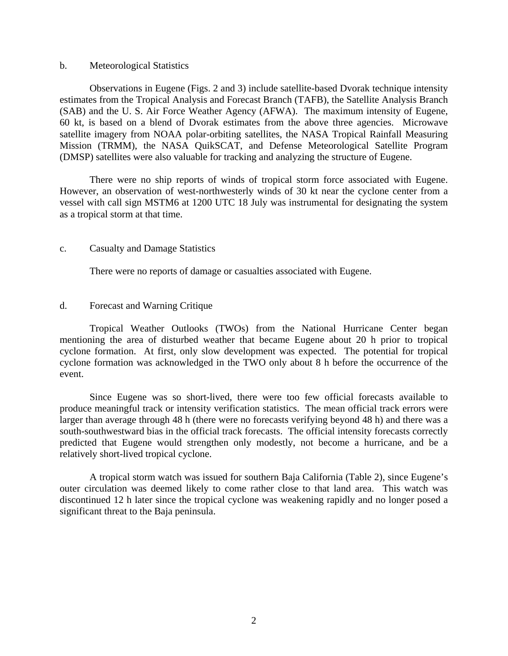## b. Meteorological Statistics

 Observations in Eugene (Figs. 2 and 3) include satellite-based Dvorak technique intensity estimates from the Tropical Analysis and Forecast Branch (TAFB), the Satellite Analysis Branch (SAB) and the U. S. Air Force Weather Agency (AFWA). The maximum intensity of Eugene, 60 kt, is based on a blend of Dvorak estimates from the above three agencies. Microwave satellite imagery from NOAA polar-orbiting satellites, the NASA Tropical Rainfall Measuring Mission (TRMM), the NASA QuikSCAT, and Defense Meteorological Satellite Program (DMSP) satellites were also valuable for tracking and analyzing the structure of Eugene.

 There were no ship reports of winds of tropical storm force associated with Eugene. However, an observation of west-northwesterly winds of 30 kt near the cyclone center from a vessel with call sign MSTM6 at 1200 UTC 18 July was instrumental for designating the system as a tropical storm at that time.

## c. Casualty and Damage Statistics

There were no reports of damage or casualties associated with Eugene.

## d. Forecast and Warning Critique

Tropical Weather Outlooks (TWOs) from the National Hurricane Center began mentioning the area of disturbed weather that became Eugene about 20 h prior to tropical cyclone formation. At first, only slow development was expected. The potential for tropical cyclone formation was acknowledged in the TWO only about 8 h before the occurrence of the event.

Since Eugene was so short-lived, there were too few official forecasts available to produce meaningful track or intensity verification statistics. The mean official track errors were larger than average through 48 h (there were no forecasts verifying beyond 48 h) and there was a south-southwestward bias in the official track forecasts. The official intensity forecasts correctly predicted that Eugene would strengthen only modestly, not become a hurricane, and be a relatively short-lived tropical cyclone.

A tropical storm watch was issued for southern Baja California (Table 2), since Eugene's outer circulation was deemed likely to come rather close to that land area. This watch was discontinued 12 h later since the tropical cyclone was weakening rapidly and no longer posed a significant threat to the Baja peninsula.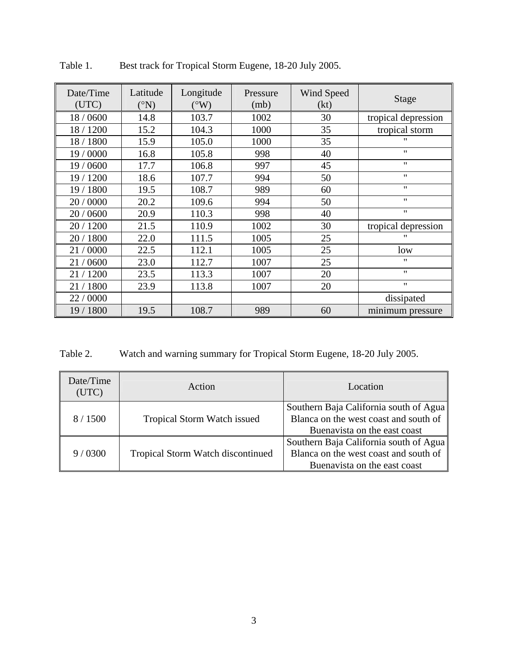| Date/Time<br>(UTC) | Latitude<br>$({}^\circ N)$ | Longitude<br>$(^{\circ}W)$ | Pressure<br>(mb) | Wind Speed<br>(kt) | Stage               |
|--------------------|----------------------------|----------------------------|------------------|--------------------|---------------------|
| 18 / 0600          | 14.8                       | 103.7                      | 1002             | 30                 | tropical depression |
| 18 / 1200          | 15.2                       | 104.3                      | 1000             | 35                 | tropical storm      |
| 18 / 1800          | 15.9                       | 105.0                      | 1000             | 35                 | $^{\prime\prime}$   |
| 19 / 0000          | 16.8                       | 105.8                      | 998              | 40                 | $^{\prime\prime}$   |
| 19 / 0600          | 17.7                       | 106.8                      | 997              | 45                 | $^{\prime\prime}$   |
| 19 / 1200          | 18.6                       | 107.7                      | 994              | 50                 | $^{\prime\prime}$   |
| 19 / 1800          | 19.5                       | 108.7                      | 989              | 60                 | $^{\prime\prime}$   |
| 20 / 0000          | 20.2                       | 109.6                      | 994              | 50                 | $^{\prime\prime}$   |
| 20 / 0600          | 20.9                       | 110.3                      | 998              | 40                 | $^{\prime\prime}$   |
| 20 / 1200          | 21.5                       | 110.9                      | 1002             | 30                 | tropical depression |
| 20 / 1800          | 22.0                       | 111.5                      | 1005             | 25                 | $^{\prime\prime}$   |
| 21/0000            | 22.5                       | 112.1                      | 1005             | 25                 | low                 |
| 21/0600            | 23.0                       | 112.7                      | 1007             | 25                 | 11                  |
| 21/1200            | 23.5                       | 113.3                      | 1007             | 20                 | $^{\prime\prime}$   |
| 21/1800            | 23.9                       | 113.8                      | 1007             | 20                 | $^{\prime\prime}$   |
| 22 / 0000          |                            |                            |                  |                    | dissipated          |
| 19 / 1800          | 19.5                       | 108.7                      | 989              | 60                 | minimum pressure    |

Table 1. Best track for Tropical Storm Eugene, 18-20 July 2005.

Table 2. Watch and warning summary for Tropical Storm Eugene, 18-20 July 2005.

| Date/Time<br>(UTC) | Action                             | Location                                                                                                        |  |
|--------------------|------------------------------------|-----------------------------------------------------------------------------------------------------------------|--|
| 8/1500             | <b>Tropical Storm Watch issued</b> | Southern Baja California south of Agua<br>Blanca on the west coast and south of<br>Buenavista on the east coast |  |
| 9/0300             | Tropical Storm Watch discontinued  | Southern Baja California south of Agua<br>Blanca on the west coast and south of<br>Buenavista on the east coast |  |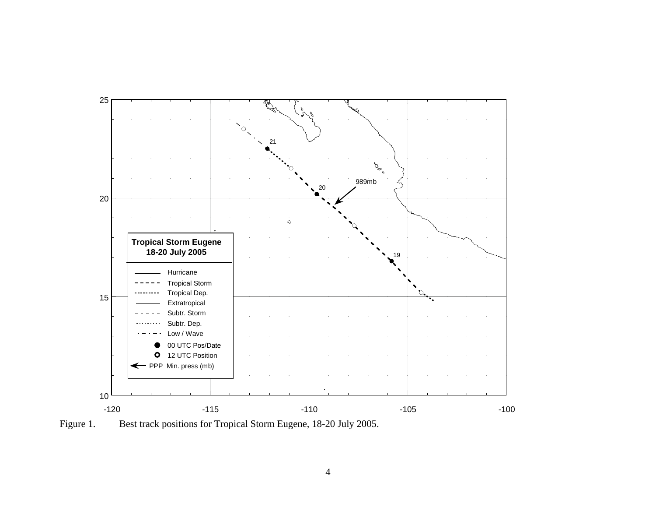

Figure 1. Best track positions for Tropical Storm Eugene, 18-20 July 2005.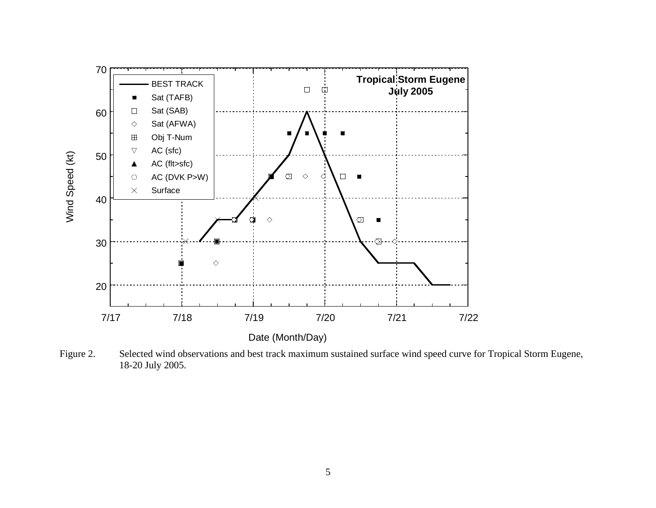

Figure 2. Selected wind observations and best track maximum sustained surface wind speed curve for Tropical Storm Eugene, 18-20 July 2005.